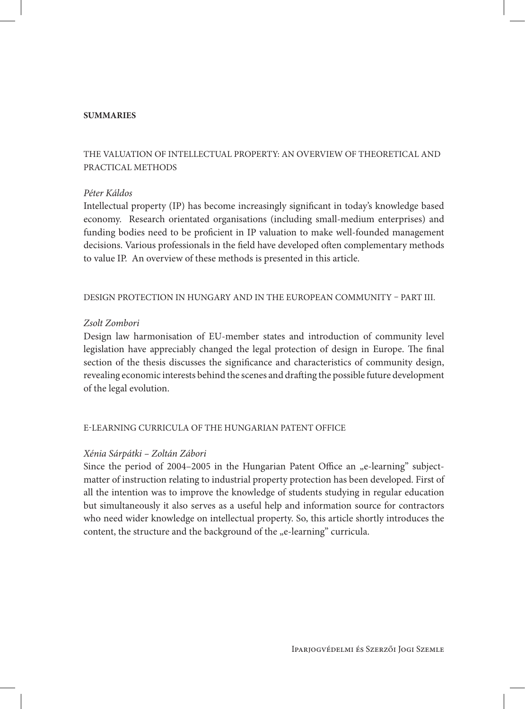### **SUMMARIES**

# THE VALUATION OF INTELLECTUAL PROPERTY: AN OVERVIEW OF THEORETICAL AND PRACTICAL METHODS

### *Péter Káldos*

Intellectual property (IP) has become increasingly significant in today's knowledge based economy. Research orientated organisations (including small-medium enterprises) and funding bodies need to be proficient in IP valuation to make well-founded management decisions. Various professionals in the field have developed often complementary methods to value IP. An overview of these methods is presented in this article.

DESIGN PROTECTION IN HUNGARY AND IN THE EUROPEAN COMMUNITY – PART III.

#### *Zsolt Zombori*

Design law harmonisation of EU-member states and introduction of community level legislation have appreciably changed the legal protection of design in Europe. The final section of the thesis discusses the significance and characteristics of community design, revealing economic interests behind the scenes and drafting the possible future development of the legal evolution.

#### E-LEARNING CURRICULA OF THE HUNGARIAN PATENT OFFICE

#### *Xénia Sárpátki – Zoltán Zábori*

Since the period of  $2004-2005$  in the Hungarian Patent Office an  $n$ e-learning" subjectmatter of instruction relating to industrial property protection has been developed. First of all the intention was to improve the knowledge of students studying in regular education but simultaneously it also serves as a useful help and information source for contractors who need wider knowledge on intellectual property. So, this article shortly introduces the content, the structure and the background of the "e-learning" curricula.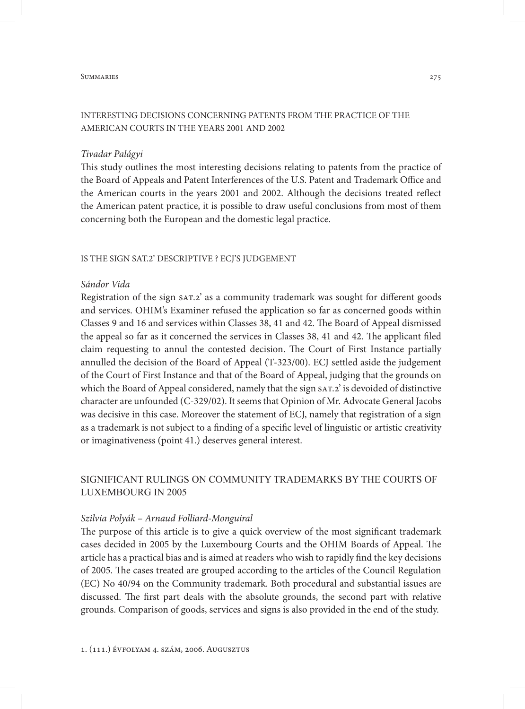#### SUMMARIES 275

## INTERESTING DECISIONS CONCERNING PATENTS FROM THE PRACTICE OF THE AMERICAN COURTS IN THE YEARS 2001 AND 2002

#### *Tivadar Palágyi*

This study outlines the most interesting decisions relating to patents from the practice of the Board of Appeals and Patent Interferences of the U.S. Patent and Trademark Office and the American courts in the years 2001 and 2002. Although the decisions treated reflect the American patent practice, it is possible to draw useful conclusions from most of them concerning both the European and the domestic legal practice.

#### IS THE SIGN SAT.2' DESCRIPTIVE ? ECI'S JUDGEMENT

### *Sándor Vida*

Registration of the sign sat.2' as a community trademark was sought for different goods and services. OHIM's Examiner refused the application so far as concerned goods within Classes 9 and 16 and services within Classes 38, 41 and 42. The Board of Appeal dismissed the appeal so far as it concerned the services in Classes 38, 41 and 42. The applicant filed claim requesting to annul the contested decision. The Court of First Instance partially annulled the decision of the Board of Appeal (T-323/00). ECJ settled aside the judgement of the Court of First Instance and that of the Board of Appeal, judging that the grounds on which the Board of Appeal considered, namely that the sign sAT.2' is devoided of distinctive character are unfounded (C-329/02). It seems that Opinion of Mr. Advocate General Jacobs was decisive in this case. Moreover the statement of ECJ, namely that registration of a sign as a trademark is not subject to a finding of a specific level of linguistic or artistic creativity or imaginativeness (point 41.) deserves general interest.

# SIGNIFICANT RULINGS ON COMMUNITY TRADEMARKS BY THE COURTS OF LUXEMBOURG IN 2005

#### *Szilvia Polyák – Arnaud Folliard-Monguiral*

The purpose of this article is to give a quick overview of the most significant trademark cases decided in 2005 by the Luxembourg Courts and the OHIM Boards of Appeal. The article has a practical bias and is aimed at readers who wish to rapidly find the key decisions of 2005. The cases treated are grouped according to the articles of the Council Regulation (EC) No 40/94 on the Community trademark. Both procedural and substantial issues are discussed. The first part deals with the absolute grounds, the second part with relative grounds. Comparison of goods, services and signs is also provided in the end of the study.